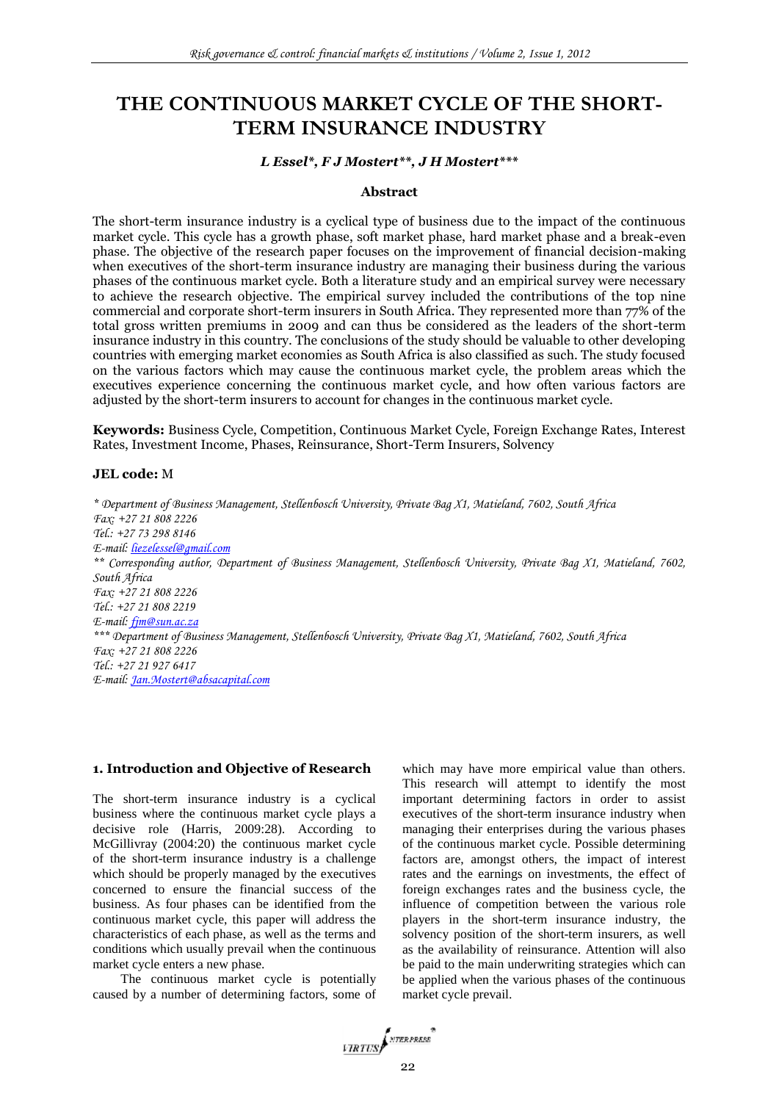# **THE CONTINUOUS MARKET CYCLE OF THE SHORT-TERM INSURANCE INDUSTRY**

#### *L Essel\*, F J Mostert\*\*, J H Mostert\*\*\**

#### **Abstract**

The short-term insurance industry is a cyclical type of business due to the impact of the continuous market cycle. This cycle has a growth phase, soft market phase, hard market phase and a break-even phase. The objective of the research paper focuses on the improvement of financial decision-making when executives of the short-term insurance industry are managing their business during the various phases of the continuous market cycle. Both a literature study and an empirical survey were necessary to achieve the research objective. The empirical survey included the contributions of the top nine commercial and corporate short-term insurers in South Africa. They represented more than 77% of the total gross written premiums in 2009 and can thus be considered as the leaders of the short-term insurance industry in this country. The conclusions of the study should be valuable to other developing countries with emerging market economies as South Africa is also classified as such. The study focused on the various factors which may cause the continuous market cycle, the problem areas which the executives experience concerning the continuous market cycle, and how often various factors are adjusted by the short-term insurers to account for changes in the continuous market cycle.

**Keywords:** Business Cycle, Competition, Continuous Market Cycle, Foreign Exchange Rates, Interest Rates, Investment Income, Phases, Reinsurance, Short-Term Insurers, Solvency

#### **JEL code:** M

*\* Department of Business Management, Stellenbosch University, Private Bag X1, Matieland, 7602, South Africa Fax: +27 21 808 2226 Tel.: +27 73 298 8146 E-mail: [liezelessel@gmail.com](mailto:liezelessel@gmail.com) \*\* Corresponding author, Department of Business Management, Stellenbosch University, Private Bag X1, Matieland, 7602, South Africa Fax: +27 21 808 2226 Tel.: +27 21 808 2219 E-mail: [fjm@sun.ac.za](mailto:fjm@sun.ac.za) \*\*\* Department of Business Management, Stellenbosch University, Private Bag X1, Matieland, 7602, South Africa Fax: +27 21 808 2226 Tel.: +27 21 927 6417 E-mail: [Jan.Mostert@absacapital.com](mailto:Jan.Mostert@absacapital.com)*

#### **1. Introduction and Objective of Research**

The short-term insurance industry is a cyclical business where the continuous market cycle plays a decisive role (Harris, 2009:28). According to McGillivray (2004:20) the continuous market cycle of the short-term insurance industry is a challenge which should be properly managed by the executives concerned to ensure the financial success of the business. As four phases can be identified from the continuous market cycle, this paper will address the characteristics of each phase, as well as the terms and conditions which usually prevail when the continuous market cycle enters a new phase.

The continuous market cycle is potentially caused by a number of determining factors, some of

which may have more empirical value than others. This research will attempt to identify the most important determining factors in order to assist executives of the short-term insurance industry when managing their enterprises during the various phases of the continuous market cycle. Possible determining factors are, amongst others, the impact of interest rates and the earnings on investments, the effect of foreign exchanges rates and the business cycle, the influence of competition between the various role players in the short-term insurance industry, the solvency position of the short-term insurers, as well as the availability of reinsurance. Attention will also be paid to the main underwriting strategies which can be applied when the various phases of the continuous market cycle prevail.

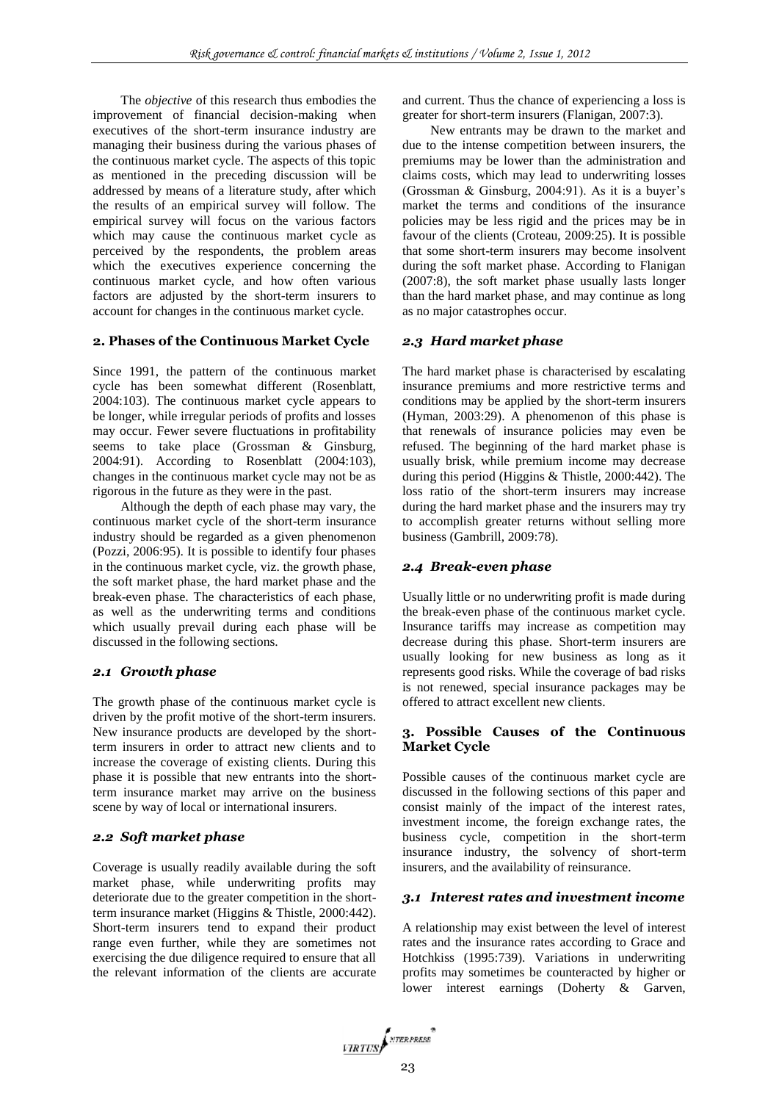The *objective* of this research thus embodies the improvement of financial decision-making when executives of the short-term insurance industry are managing their business during the various phases of the continuous market cycle. The aspects of this topic as mentioned in the preceding discussion will be addressed by means of a literature study, after which the results of an empirical survey will follow. The empirical survey will focus on the various factors which may cause the continuous market cycle as perceived by the respondents, the problem areas which the executives experience concerning the continuous market cycle, and how often various factors are adjusted by the short-term insurers to account for changes in the continuous market cycle.

### **2. Phases of the Continuous Market Cycle**

Since 1991, the pattern of the continuous market cycle has been somewhat different (Rosenblatt, 2004:103). The continuous market cycle appears to be longer, while irregular periods of profits and losses may occur. Fewer severe fluctuations in profitability seems to take place (Grossman & Ginsburg, 2004:91). According to Rosenblatt (2004:103), changes in the continuous market cycle may not be as rigorous in the future as they were in the past.

Although the depth of each phase may vary, the continuous market cycle of the short-term insurance industry should be regarded as a given phenomenon (Pozzi, 2006:95). It is possible to identify four phases in the continuous market cycle, viz. the growth phase, the soft market phase, the hard market phase and the break-even phase. The characteristics of each phase, as well as the underwriting terms and conditions which usually prevail during each phase will be discussed in the following sections.

### *2.1 Growth phase*

The growth phase of the continuous market cycle is driven by the profit motive of the short-term insurers. New insurance products are developed by the shortterm insurers in order to attract new clients and to increase the coverage of existing clients. During this phase it is possible that new entrants into the shortterm insurance market may arrive on the business scene by way of local or international insurers.

### *2.2 Soft market phase*

Coverage is usually readily available during the soft market phase, while underwriting profits may deteriorate due to the greater competition in the shortterm insurance market (Higgins & Thistle, 2000:442). Short-term insurers tend to expand their product range even further, while they are sometimes not exercising the due diligence required to ensure that all the relevant information of the clients are accurate

and current. Thus the chance of experiencing a loss is greater for short-term insurers (Flanigan, 2007:3).

New entrants may be drawn to the market and due to the intense competition between insurers, the premiums may be lower than the administration and claims costs, which may lead to underwriting losses (Grossman & Ginsburg, 2004:91). As it is a buyer's market the terms and conditions of the insurance policies may be less rigid and the prices may be in favour of the clients (Croteau, 2009:25). It is possible that some short-term insurers may become insolvent during the soft market phase. According to Flanigan (2007:8), the soft market phase usually lasts longer than the hard market phase, and may continue as long as no major catastrophes occur.

# *2.3 Hard market phase*

The hard market phase is characterised by escalating insurance premiums and more restrictive terms and conditions may be applied by the short-term insurers (Hyman, 2003:29). A phenomenon of this phase is that renewals of insurance policies may even be refused. The beginning of the hard market phase is usually brisk, while premium income may decrease during this period (Higgins & Thistle, 2000:442). The loss ratio of the short-term insurers may increase during the hard market phase and the insurers may try to accomplish greater returns without selling more business (Gambrill, 2009:78).

### *2.4 Break-even phase*

Usually little or no underwriting profit is made during the break-even phase of the continuous market cycle. Insurance tariffs may increase as competition may decrease during this phase. Short-term insurers are usually looking for new business as long as it represents good risks. While the coverage of bad risks is not renewed, special insurance packages may be offered to attract excellent new clients.

### **3. Possible Causes of the Continuous Market Cycle**

Possible causes of the continuous market cycle are discussed in the following sections of this paper and consist mainly of the impact of the interest rates, investment income, the foreign exchange rates, the business cycle, competition in the short-term insurance industry, the solvency of short-term insurers, and the availability of reinsurance.

### *3.1 Interest rates and investment income*

A relationship may exist between the level of interest rates and the insurance rates according to Grace and Hotchkiss (1995:739). Variations in underwriting profits may sometimes be counteracted by higher or lower interest earnings (Doherty & Garven,

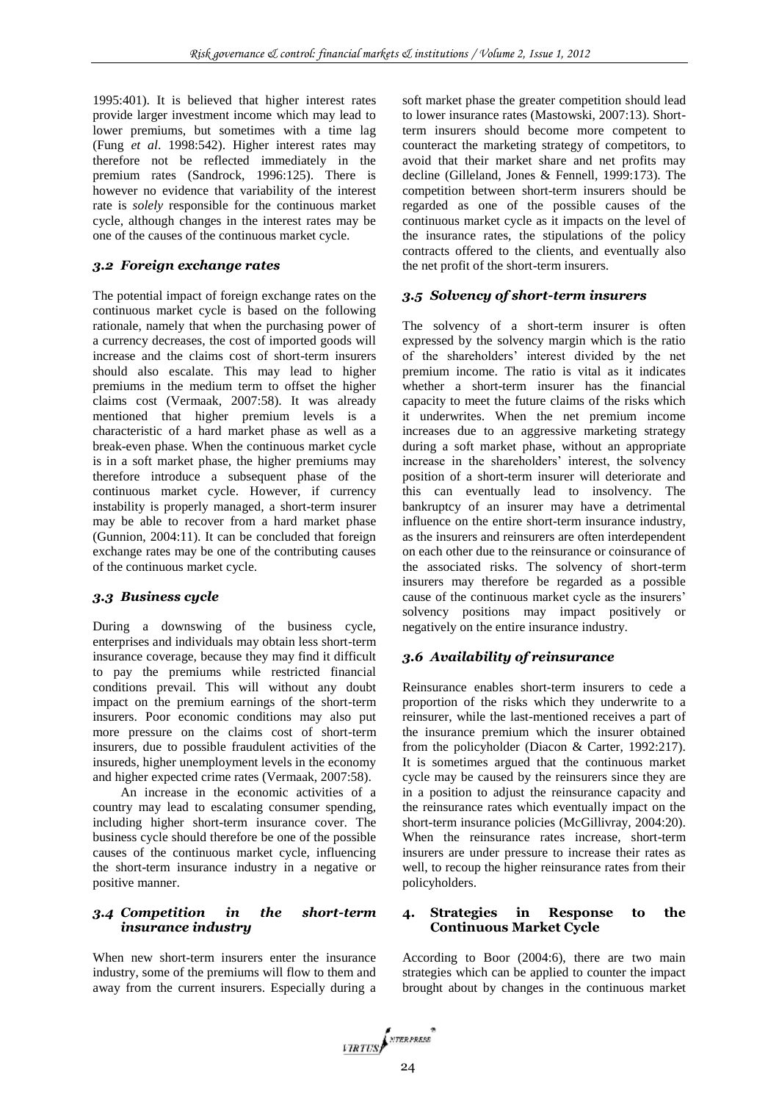1995:401). It is believed that higher interest rates provide larger investment income which may lead to lower premiums, but sometimes with a time lag (Fung *et al*. 1998:542). Higher interest rates may therefore not be reflected immediately in the premium rates (Sandrock, 1996:125). There is however no evidence that variability of the interest rate is *solely* responsible for the continuous market cycle, although changes in the interest rates may be one of the causes of the continuous market cycle.

# *3.2 Foreign exchange rates*

The potential impact of foreign exchange rates on the continuous market cycle is based on the following rationale, namely that when the purchasing power of a currency decreases, the cost of imported goods will increase and the claims cost of short-term insurers should also escalate. This may lead to higher premiums in the medium term to offset the higher claims cost (Vermaak, 2007:58). It was already mentioned that higher premium levels is a characteristic of a hard market phase as well as a break-even phase. When the continuous market cycle is in a soft market phase, the higher premiums may therefore introduce a subsequent phase of the continuous market cycle. However, if currency instability is properly managed, a short-term insurer may be able to recover from a hard market phase (Gunnion, 2004:11). It can be concluded that foreign exchange rates may be one of the contributing causes of the continuous market cycle.

## *3.3 Business cycle*

During a downswing of the business cycle, enterprises and individuals may obtain less short-term insurance coverage, because they may find it difficult to pay the premiums while restricted financial conditions prevail. This will without any doubt impact on the premium earnings of the short-term insurers. Poor economic conditions may also put more pressure on the claims cost of short-term insurers, due to possible fraudulent activities of the insureds, higher unemployment levels in the economy and higher expected crime rates (Vermaak, 2007:58).

An increase in the economic activities of a country may lead to escalating consumer spending, including higher short-term insurance cover. The business cycle should therefore be one of the possible causes of the continuous market cycle, influencing the short-term insurance industry in a negative or positive manner.

### *3.4 Competition in the short-term insurance industry*

When new short-term insurers enter the insurance industry, some of the premiums will flow to them and away from the current insurers. Especially during a soft market phase the greater competition should lead to lower insurance rates (Mastowski, 2007:13). Shortterm insurers should become more competent to counteract the marketing strategy of competitors, to avoid that their market share and net profits may decline (Gilleland, Jones & Fennell, 1999:173). The competition between short-term insurers should be regarded as one of the possible causes of the continuous market cycle as it impacts on the level of the insurance rates, the stipulations of the policy contracts offered to the clients, and eventually also the net profit of the short-term insurers.

# *3.5 Solvency of short-term insurers*

The solvency of a short-term insurer is often expressed by the solvency margin which is the ratio of the shareholders' interest divided by the net premium income. The ratio is vital as it indicates whether a short-term insurer has the financial capacity to meet the future claims of the risks which it underwrites. When the net premium income increases due to an aggressive marketing strategy during a soft market phase, without an appropriate increase in the shareholders' interest, the solvency position of a short-term insurer will deteriorate and this can eventually lead to insolvency. The bankruptcy of an insurer may have a detrimental influence on the entire short-term insurance industry, as the insurers and reinsurers are often interdependent on each other due to the reinsurance or coinsurance of the associated risks. The solvency of short-term insurers may therefore be regarded as a possible cause of the continuous market cycle as the insurers' solvency positions may impact positively or negatively on the entire insurance industry.

# *3.6 Availability of reinsurance*

Reinsurance enables short-term insurers to cede a proportion of the risks which they underwrite to a reinsurer, while the last-mentioned receives a part of the insurance premium which the insurer obtained from the policyholder (Diacon & Carter, 1992:217). It is sometimes argued that the continuous market cycle may be caused by the reinsurers since they are in a position to adjust the reinsurance capacity and the reinsurance rates which eventually impact on the short-term insurance policies (McGillivray, 2004:20). When the reinsurance rates increase, short-term insurers are under pressure to increase their rates as well, to recoup the higher reinsurance rates from their policyholders.

### **4. Strategies in Response to the Continuous Market Cycle**

According to Boor (2004:6), there are two main strategies which can be applied to counter the impact brought about by changes in the continuous market

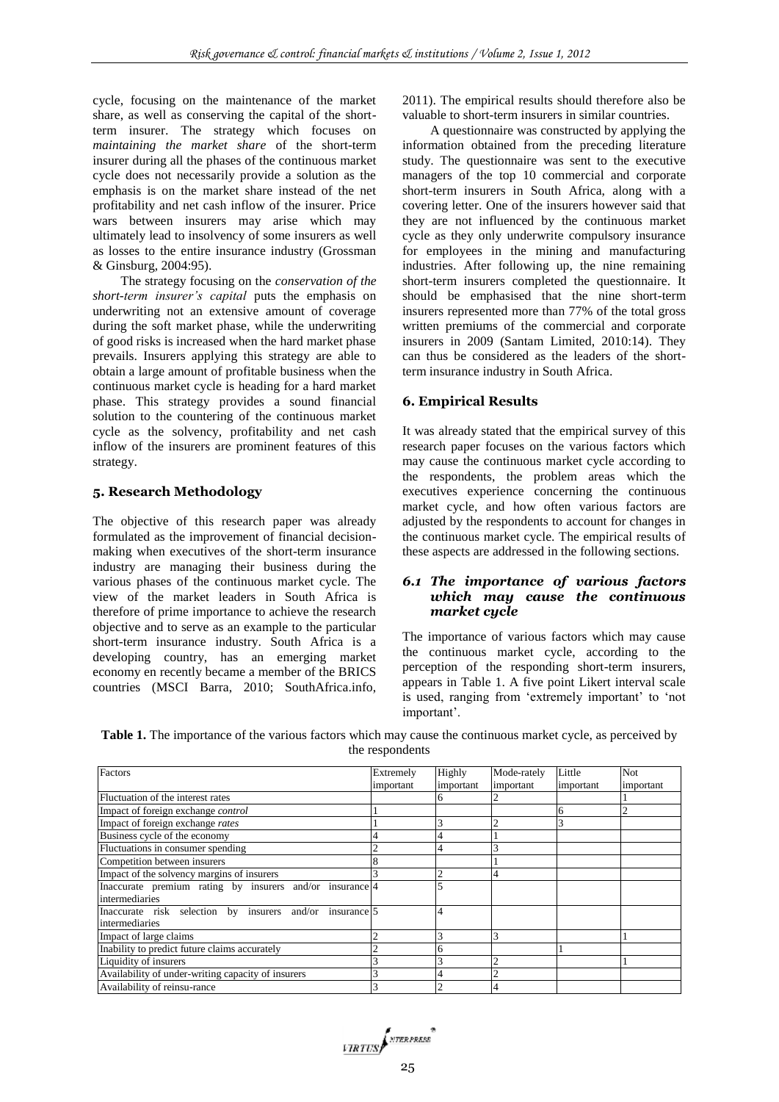cycle, focusing on the maintenance of the market share, as well as conserving the capital of the shortterm insurer. The strategy which focuses on *maintaining the market share* of the short-term insurer during all the phases of the continuous market cycle does not necessarily provide a solution as the emphasis is on the market share instead of the net profitability and net cash inflow of the insurer. Price wars between insurers may arise which may ultimately lead to insolvency of some insurers as well as losses to the entire insurance industry (Grossman & Ginsburg, 2004:95).

The strategy focusing on the *conservation of the short-term insurer's capital* puts the emphasis on underwriting not an extensive amount of coverage during the soft market phase, while the underwriting of good risks is increased when the hard market phase prevails. Insurers applying this strategy are able to obtain a large amount of profitable business when the continuous market cycle is heading for a hard market phase. This strategy provides a sound financial solution to the countering of the continuous market cycle as the solvency, profitability and net cash inflow of the insurers are prominent features of this strategy.

### **5. Research Methodology**

The objective of this research paper was already formulated as the improvement of financial decisionmaking when executives of the short-term insurance industry are managing their business during the various phases of the continuous market cycle. The view of the market leaders in South Africa is therefore of prime importance to achieve the research objective and to serve as an example to the particular short-term insurance industry. South Africa is a developing country, has an emerging market economy en recently became a member of the BRICS countries (MSCI Barra, 2010; SouthAfrica.info,

2011). The empirical results should therefore also be valuable to short-term insurers in similar countries.

A questionnaire was constructed by applying the information obtained from the preceding literature study. The questionnaire was sent to the executive managers of the top 10 commercial and corporate short-term insurers in South Africa, along with a covering letter. One of the insurers however said that they are not influenced by the continuous market cycle as they only underwrite compulsory insurance for employees in the mining and manufacturing industries. After following up, the nine remaining short-term insurers completed the questionnaire. It should be emphasised that the nine short-term insurers represented more than 77% of the total gross written premiums of the commercial and corporate insurers in 2009 (Santam Limited, 2010:14). They can thus be considered as the leaders of the shortterm insurance industry in South Africa.

### **6. Empirical Results**

It was already stated that the empirical survey of this research paper focuses on the various factors which may cause the continuous market cycle according to the respondents, the problem areas which the executives experience concerning the continuous market cycle, and how often various factors are adjusted by the respondents to account for changes in the continuous market cycle. The empirical results of these aspects are addressed in the following sections.

### *6.1 The importance of various factors which may cause the continuous market cycle*

The importance of various factors which may cause the continuous market cycle, according to the perception of the responding short-term insurers, appears in Table 1. A five point Likert interval scale is used, ranging from 'extremely important' to 'not important'.

**Table 1.** The importance of the various factors which may cause the continuous market cycle, as perceived by the respondents

| Factors                                                  | Extremely | Highly       | Mode-rately | Little    | <b>Not</b> |
|----------------------------------------------------------|-----------|--------------|-------------|-----------|------------|
|                                                          | important | important    | important   | important | important  |
| Fluctuation of the interest rates                        |           |              |             |           |            |
| Impact of foreign exchange <i>control</i>                |           |              |             |           |            |
| Impact of foreign exchange rates                         |           |              |             |           |            |
| Business cycle of the economy                            |           |              |             |           |            |
| Fluctuations in consumer spending                        |           |              |             |           |            |
| Competition between insurers                             |           |              |             |           |            |
| Impact of the solvency margins of insurers               |           |              |             |           |            |
| Inaccurate premium rating by insurers and/or insurance 4 |           |              |             |           |            |
| <i>intermediaries</i>                                    |           |              |             |           |            |
| Inaccurate risk selection by insurers and/or insurance 5 |           |              |             |           |            |
| intermediaries                                           |           |              |             |           |            |
| Impact of large claims                                   |           | 3            |             |           |            |
| Inability to predict future claims accurately            |           | <sub>(</sub> |             |           |            |
| Liquidity of insurers                                    |           |              |             |           |            |
| Availability of under-writing capacity of insurers       |           |              |             |           |            |
| Availability of reinsu-rance                             |           |              |             |           |            |

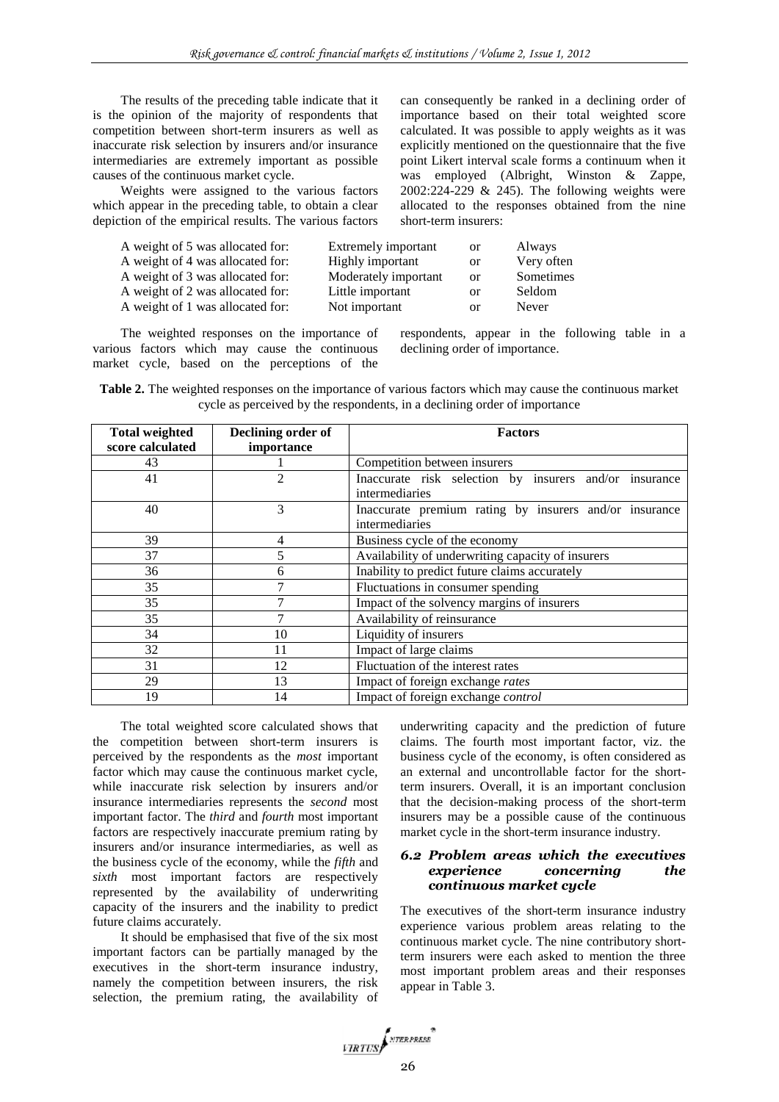short-term insurers:

The results of the preceding table indicate that it is the opinion of the majority of respondents that competition between short-term insurers as well as inaccurate risk selection by insurers and/or insurance intermediaries are extremely important as possible causes of the continuous market cycle.

Weights were assigned to the various factors which appear in the preceding table, to obtain a clear depiction of the empirical results. The various factors

A weight of 5 was allocated for: Extremely important or Always A weight of 4 was allocated for: Highly important or Very often A weight of 3 was allocated for: Moderately important or Sometimes A weight of 2 was allocated for: Little important or Seldom A weight of 1 was allocated for: Not important or Never

The weighted responses on the importance of various factors which may cause the continuous market cycle, based on the perceptions of the respondents, appear in the following table in a declining order of importance.

can consequently be ranked in a declining order of importance based on their total weighted score calculated. It was possible to apply weights as it was explicitly mentioned on the questionnaire that the five point Likert interval scale forms a continuum when it was employed (Albright, Winston & Zappe, 2002:224-229 & 245). The following weights were allocated to the responses obtained from the nine

| Table 2. The weighted responses on the importance of various factors which may cause the continuous market |                                                                           |  |  |
|------------------------------------------------------------------------------------------------------------|---------------------------------------------------------------------------|--|--|
|                                                                                                            | cycle as perceived by the respondents, in a declining order of importance |  |  |

| <b>Total weighted</b> | Declining order of | <b>Factors</b>                                         |  |  |
|-----------------------|--------------------|--------------------------------------------------------|--|--|
| score calculated      | importance         |                                                        |  |  |
| 43                    |                    | Competition between insurers                           |  |  |
| 41                    | $\overline{2}$     | Inaccurate risk selection by insurers and/or insurance |  |  |
|                       |                    | intermediaries                                         |  |  |
| 40                    | 3                  | Inaccurate premium rating by insurers and/or insurance |  |  |
|                       |                    | intermediaries                                         |  |  |
| 39                    | 4                  | Business cycle of the economy                          |  |  |
| 37                    | 5                  | Availability of underwriting capacity of insurers      |  |  |
| 36                    | 6                  | Inability to predict future claims accurately          |  |  |
| 35                    | 7                  | Fluctuations in consumer spending                      |  |  |
| 35                    | 7                  | Impact of the solvency margins of insurers             |  |  |
| 35                    | 7                  | Availability of reinsurance                            |  |  |
| 34                    | 10                 | Liquidity of insurers                                  |  |  |
| 32                    | 11                 | Impact of large claims                                 |  |  |
| 31                    | 12                 | Fluctuation of the interest rates                      |  |  |
| 29                    | 13                 | Impact of foreign exchange rates                       |  |  |
| 19                    | 14                 | Impact of foreign exchange control                     |  |  |

The total weighted score calculated shows that the competition between short-term insurers is perceived by the respondents as the *most* important factor which may cause the continuous market cycle, while inaccurate risk selection by insurers and/or insurance intermediaries represents the *second* most important factor. The *third* and *fourth* most important factors are respectively inaccurate premium rating by insurers and/or insurance intermediaries, as well as the business cycle of the economy, while the *fifth* and *sixth* most important factors are respectively represented by the availability of underwriting capacity of the insurers and the inability to predict future claims accurately.

It should be emphasised that five of the six most important factors can be partially managed by the executives in the short-term insurance industry, namely the competition between insurers, the risk selection, the premium rating, the availability of

underwriting capacity and the prediction of future claims. The fourth most important factor, viz. the business cycle of the economy, is often considered as an external and uncontrollable factor for the shortterm insurers. Overall, it is an important conclusion that the decision-making process of the short-term insurers may be a possible cause of the continuous market cycle in the short-term insurance industry.

#### *6.2 Problem areas which the executives experience concerning the continuous market cycle*

The executives of the short-term insurance industry experience various problem areas relating to the continuous market cycle. The nine contributory shortterm insurers were each asked to mention the three most important problem areas and their responses appear in Table 3.

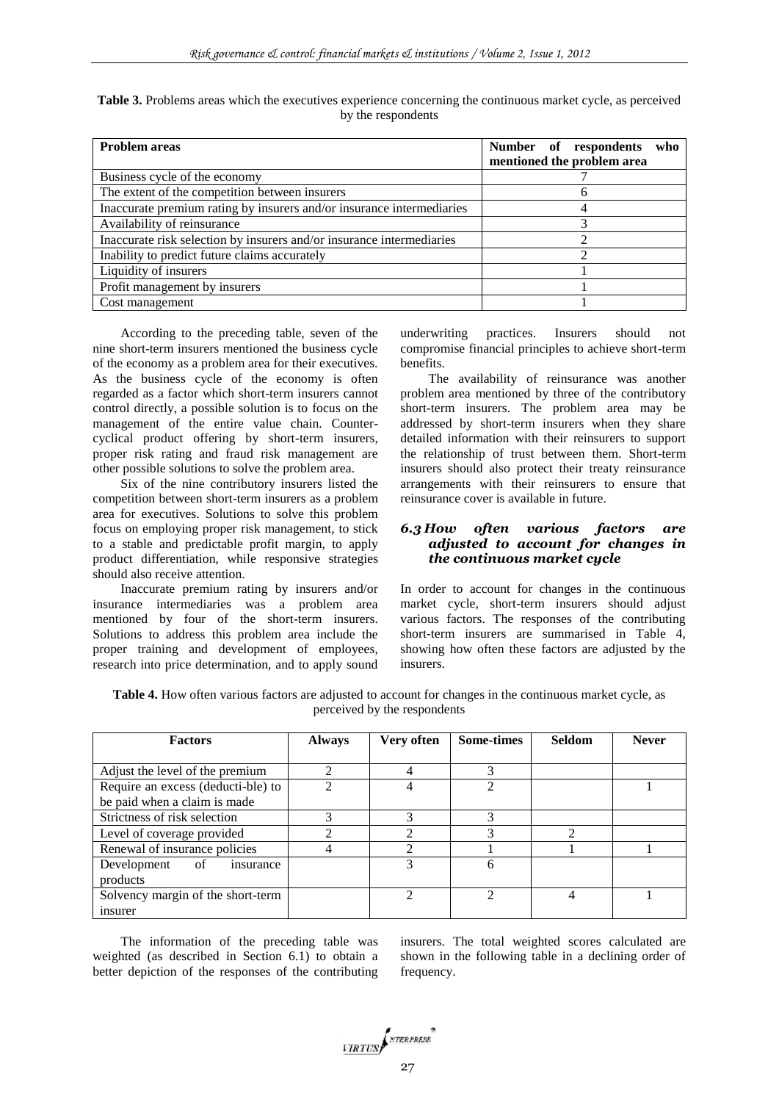| <b>Problem areas</b>                                                  | Number of respondents<br>who<br>mentioned the problem area |
|-----------------------------------------------------------------------|------------------------------------------------------------|
| Business cycle of the economy                                         |                                                            |
| The extent of the competition between insurers                        | h                                                          |
| Inaccurate premium rating by insurers and/or insurance intermediaries |                                                            |
| Availability of reinsurance                                           |                                                            |
| Inaccurate risk selection by insurers and/or insurance intermediaries |                                                            |
| Inability to predict future claims accurately                         |                                                            |
| Liquidity of insurers                                                 |                                                            |
| Profit management by insurers                                         |                                                            |
| Cost management                                                       |                                                            |

**Table 3.** Problems areas which the executives experience concerning the continuous market cycle, as perceived by the respondents

According to the preceding table, seven of the nine short-term insurers mentioned the business cycle of the economy as a problem area for their executives. As the business cycle of the economy is often regarded as a factor which short-term insurers cannot control directly, a possible solution is to focus on the management of the entire value chain. Countercyclical product offering by short-term insurers, proper risk rating and fraud risk management are other possible solutions to solve the problem area.

Six of the nine contributory insurers listed the competition between short-term insurers as a problem area for executives. Solutions to solve this problem focus on employing proper risk management, to stick to a stable and predictable profit margin, to apply product differentiation, while responsive strategies should also receive attention.

Inaccurate premium rating by insurers and/or insurance intermediaries was a problem area mentioned by four of the short-term insurers. Solutions to address this problem area include the proper training and development of employees, research into price determination, and to apply sound underwriting practices. Insurers should not compromise financial principles to achieve short-term benefits.

The availability of reinsurance was another problem area mentioned by three of the contributory short-term insurers. The problem area may be addressed by short-term insurers when they share detailed information with their reinsurers to support the relationship of trust between them. Short-term insurers should also protect their treaty reinsurance arrangements with their reinsurers to ensure that reinsurance cover is available in future.

### *6.3 How often various factors are adjusted to account for changes in the continuous market cycle*

In order to account for changes in the continuous market cycle, short-term insurers should adjust various factors. The responses of the contributing short-term insurers are summarised in Table 4, showing how often these factors are adjusted by the insurers.

**Table 4.** How often various factors are adjusted to account for changes in the continuous market cycle, as perceived by the respondents

| <b>Factors</b>                     | <b>Always</b> | Very often | <b>Some-times</b> | <b>Seldom</b> | <b>Never</b> |
|------------------------------------|---------------|------------|-------------------|---------------|--------------|
|                                    |               |            |                   |               |              |
| Adjust the level of the premium    |               |            |                   |               |              |
| Require an excess (deducti-ble) to |               |            |                   |               |              |
| be paid when a claim is made       |               |            |                   |               |              |
| Strictness of risk selection       | $\mathbf 3$   | 3          | 3                 |               |              |
| Level of coverage provided         |               |            |                   | ◠             |              |
| Renewal of insurance policies      |               |            |                   |               |              |
| Development of<br>insurance        |               |            | 6                 |               |              |
| products                           |               |            |                   |               |              |
| Solvency margin of the short-term  |               |            | ↑                 |               |              |
| insurer                            |               |            |                   |               |              |

The information of the preceding table was weighted (as described in Section 6.1) to obtain a better depiction of the responses of the contributing insurers. The total weighted scores calculated are shown in the following table in a declining order of frequency.

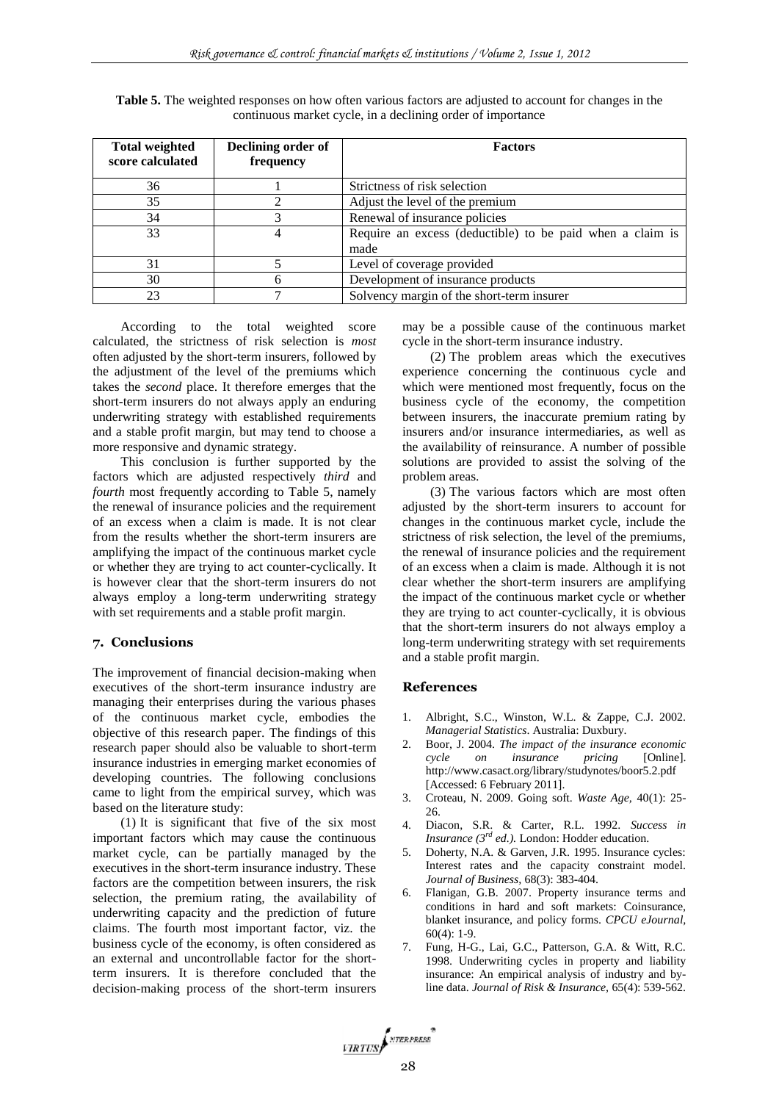| <b>Total weighted</b> | Declining order of | <b>Factors</b>                                            |  |
|-----------------------|--------------------|-----------------------------------------------------------|--|
| score calculated      | frequency          |                                                           |  |
| 36                    |                    | Strictness of risk selection                              |  |
| 35                    |                    | Adjust the level of the premium                           |  |
| 34                    |                    | Renewal of insurance policies                             |  |
| 33                    |                    | Require an excess (deductible) to be paid when a claim is |  |
|                       |                    | made                                                      |  |
| 31                    |                    | Level of coverage provided                                |  |
| 30                    |                    | Development of insurance products                         |  |
| 23                    |                    | Solvency margin of the short-term insurer                 |  |

**Table 5.** The weighted responses on how often various factors are adjusted to account for changes in the continuous market cycle, in a declining order of importance

According to the total weighted score calculated, the strictness of risk selection is *most* often adjusted by the short-term insurers, followed by the adjustment of the level of the premiums which takes the *second* place. It therefore emerges that the short-term insurers do not always apply an enduring underwriting strategy with established requirements and a stable profit margin, but may tend to choose a more responsive and dynamic strategy.

This conclusion is further supported by the factors which are adjusted respectively *third* and *fourth* most frequently according to Table 5, namely the renewal of insurance policies and the requirement of an excess when a claim is made. It is not clear from the results whether the short-term insurers are amplifying the impact of the continuous market cycle or whether they are trying to act counter-cyclically. It is however clear that the short-term insurers do not always employ a long-term underwriting strategy with set requirements and a stable profit margin.

### **7. Conclusions**

The improvement of financial decision-making when executives of the short-term insurance industry are managing their enterprises during the various phases of the continuous market cycle, embodies the objective of this research paper. The findings of this research paper should also be valuable to short-term insurance industries in emerging market economies of developing countries. The following conclusions came to light from the empirical survey, which was based on the literature study:

(1) It is significant that five of the six most important factors which may cause the continuous market cycle, can be partially managed by the executives in the short-term insurance industry. These factors are the competition between insurers, the risk selection, the premium rating, the availability of underwriting capacity and the prediction of future claims. The fourth most important factor, viz. the business cycle of the economy, is often considered as an external and uncontrollable factor for the shortterm insurers. It is therefore concluded that the decision-making process of the short-term insurers may be a possible cause of the continuous market cycle in the short-term insurance industry.

(2) The problem areas which the executives experience concerning the continuous cycle and which were mentioned most frequently, focus on the business cycle of the economy, the competition between insurers, the inaccurate premium rating by insurers and/or insurance intermediaries, as well as the availability of reinsurance. A number of possible solutions are provided to assist the solving of the problem areas.

(3) The various factors which are most often adjusted by the short-term insurers to account for changes in the continuous market cycle, include the strictness of risk selection, the level of the premiums, the renewal of insurance policies and the requirement of an excess when a claim is made. Although it is not clear whether the short-term insurers are amplifying the impact of the continuous market cycle or whether they are trying to act counter-cyclically, it is obvious that the short-term insurers do not always employ a long-term underwriting strategy with set requirements and a stable profit margin.

### **References**

- 1. Albright, S.C., Winston, W.L. & Zappe, C.J. 2002. *Managerial Statistics*. Australia: Duxbury.
- 2. Boor, J. 2004. *The impact of the insurance economic cycle on insurance pricing* [Online]. http://www.casact.org/library/studynotes/boor5.2.pdf [Accessed: 6 February 2011].
- 3. Croteau, N. 2009. Going soft. *Waste Age,* 40(1): 25- 26.
- 4. Diacon, S.R. & Carter, R.L. 1992. *Success in Insurance (3rd ed.).* London: Hodder education.
- 5. Doherty, N.A. & Garven, J.R. 1995. Insurance cycles: Interest rates and the capacity constraint model. *Journal of Business,* 68(3): 383-404.
- 6. Flanigan, G.B. 2007. Property insurance terms and conditions in hard and soft markets: Coinsurance, blanket insurance, and policy forms. *CPCU eJournal,*   $60(4): 1-9.$
- 7. Fung, H-G., Lai, G.C., Patterson, G.A. & Witt, R.C. 1998. Underwriting cycles in property and liability insurance: An empirical analysis of industry and byline data. *Journal of Risk & Insurance,* 65(4): 539-562.